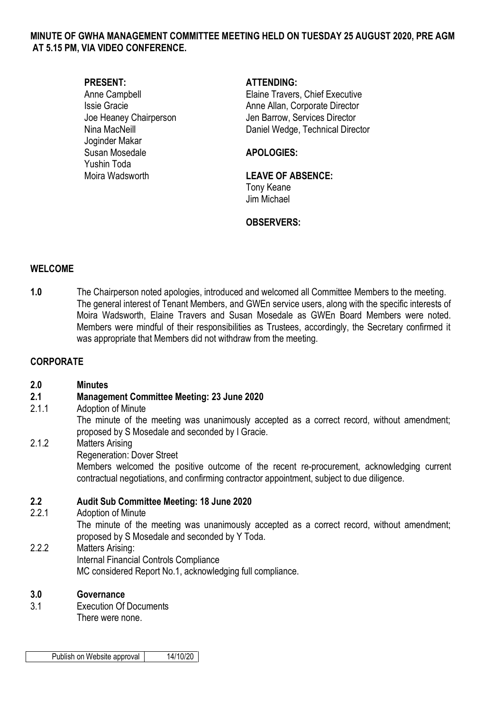### **MINUTE OF GWHA MANAGEMENT COMMITTEE MEETING HELD ON TUESDAY 25 AUGUST 2020, PRE AGM AT 5.15 PM, VIA VIDEO CONFERENCE.**

Joginder Makar Susan Mosedale **APOLOGIES:** Yushin Toda Moira Wadsworth **LEAVE OF ABSENCE:** 

### **PRESENT: ATTENDING:**

Anne Campbell **Elaine Travers**, Chief Executive Issie Gracie **Anne Allan, Corporate Director** Anne Allan, Corporate Director Joe Heaney Chairperson Jen Barrow, Services Director Nina MacNeill Daniel Wedge, Technical Director

Tony Keane Jim Michael

# **OBSERVERS:**

### **WELCOME**

**1.0** The Chairperson noted apologies, introduced and welcomed all Committee Members to the meeting. The general interest of Tenant Members, and GWEn service users, along with the specific interests of Moira Wadsworth, Elaine Travers and Susan Mosedale as GWEn Board Members were noted. Members were mindful of their responsibilities as Trustees, accordingly, the Secretary confirmed it was appropriate that Members did not withdraw from the meeting.

### **CORPORATE**

### **2.0 Minutes**

# **2.1 Management Committee Meeting: 23 June 2020**

2.1.1 Adoption of Minute The minute of the meeting was unanimously accepted as a correct record, without amendment; proposed by S Mosedale and seconded by I Gracie. 2.1.2 Matters Arising Regeneration: Dover Street Members welcomed the positive outcome of the recent re-procurement, acknowledging current contractual negotiations, and confirming contractor appointment, subject to due diligence.

# **2.2 Audit Sub Committee Meeting: 18 June 2020**

2.2.1 Adoption of Minute The minute of the meeting was unanimously accepted as a correct record, without amendment; proposed by S Mosedale and seconded by Y Toda. 2.2.2 Matters Arising: Internal Financial Controls Compliance MC considered Report No.1, acknowledging full compliance.

### **3.0 Governance**

3.1 Execution Of Documents There were none.

Publish on Website approval | 14/10/20